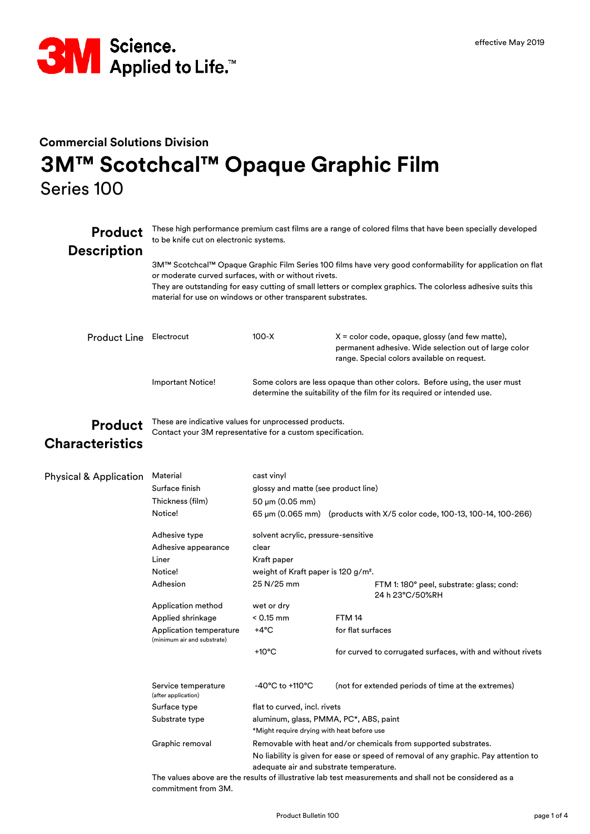

## **Commercial Solutions Division 3M™ Scotchcal™ Opaque Graphic Film** Series 100

| <b>Product</b><br><b>Description</b>     | These high performance premium cast films are a range of colored films that have been specially developed<br>to be knife cut on electronic systems.                                                                                                                                                                                                |                                                                                                                                                                                                                                           |                                                                                                                                                                                                                                                                                                                                                                 |  |  |  |
|------------------------------------------|----------------------------------------------------------------------------------------------------------------------------------------------------------------------------------------------------------------------------------------------------------------------------------------------------------------------------------------------------|-------------------------------------------------------------------------------------------------------------------------------------------------------------------------------------------------------------------------------------------|-----------------------------------------------------------------------------------------------------------------------------------------------------------------------------------------------------------------------------------------------------------------------------------------------------------------------------------------------------------------|--|--|--|
|                                          | 3M™ Scotchcal™ Opaque Graphic Film Series 100 films have very good conformability for application on flat<br>or moderate curved surfaces, with or without rivets.<br>They are outstanding for easy cutting of small letters or complex graphics. The colorless adhesive suits this<br>material for use on windows or other transparent substrates. |                                                                                                                                                                                                                                           |                                                                                                                                                                                                                                                                                                                                                                 |  |  |  |
| <b>Product Line</b>                      | Electrocut                                                                                                                                                                                                                                                                                                                                         | $100 - X$                                                                                                                                                                                                                                 | $X =$ color code, opaque, glossy (and few matte),<br>permanent adhesive. Wide selection out of large color<br>range. Special colors available on request.                                                                                                                                                                                                       |  |  |  |
|                                          | <b>Important Notice!</b>                                                                                                                                                                                                                                                                                                                           |                                                                                                                                                                                                                                           | Some colors are less opaque than other colors. Before using, the user must<br>determine the suitability of the film for its required or intended use.                                                                                                                                                                                                           |  |  |  |
| <b>Product</b><br><b>Characteristics</b> | These are indicative values for unprocessed products.<br>Contact your 3M representative for a custom specification.                                                                                                                                                                                                                                |                                                                                                                                                                                                                                           |                                                                                                                                                                                                                                                                                                                                                                 |  |  |  |
| <b>Physical &amp; Application</b>        | Material<br>Surface finish<br>Thickness (film)<br>Notice!<br>Adhesive type<br>Adhesive appearance<br>Liner<br>Notice!<br>Adhesion<br>Application method<br>Applied shrinkage<br>Application temperature<br>(minimum air and substrate)                                                                                                             | cast vinyl<br>glossy and matte (see product line)<br>50 µm (0.05 mm)<br>solvent acrylic, pressure-sensitive<br>clear<br>Kraft paper<br>weight of Kraft paper is 120 g/m <sup>2</sup> .<br>25 N/25 mm<br>wet or dry<br>$< 0.15$ mm<br>+4°C | 65 µm (0.065 mm) (products with X/5 color code, 100-13, 100-14, 100-266)<br>FTM 1: 180° peel, substrate: glass; cond:<br>24 h 23°C/50%RH<br><b>FTM 14</b><br>for flat surfaces                                                                                                                                                                                  |  |  |  |
|                                          | Service temperature<br>(after application)<br>Surface type<br>Substrate type<br>Graphic removal                                                                                                                                                                                                                                                    | +10 $^{\circ}$ C<br>$-40^{\circ}$ C to +110 $^{\circ}$ C<br>flat to curved, incl. rivets<br>*Might require drying with heat before use                                                                                                    | for curved to corrugated surfaces, with and without rivets<br>(not for extended periods of time at the extremes)<br>aluminum, glass, PMMA, PC*, ABS, paint<br>Removable with heat and/or chemicals from supported substrates.<br>No liability is given for ease or speed of removal of any graphic. Pay attention to<br>adequate air and substrate temperature. |  |  |  |

The values above are the results of illustrative lab test measurements and shall not be considered as a commitment from 3M.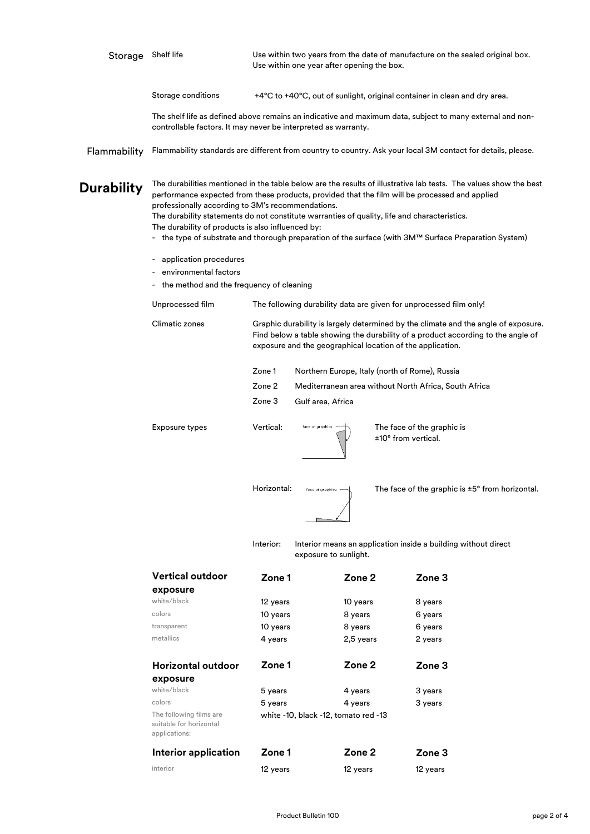| Storage           | Shelf life                                                                                                                                                                                                                                                                                                                                                                                                                                                                                                                             | Use within two years from the date of manufacture on the sealed original box.<br>Use within one year after opening the box. |                                                                    |  |                                                                                                              |  |  |
|-------------------|----------------------------------------------------------------------------------------------------------------------------------------------------------------------------------------------------------------------------------------------------------------------------------------------------------------------------------------------------------------------------------------------------------------------------------------------------------------------------------------------------------------------------------------|-----------------------------------------------------------------------------------------------------------------------------|--------------------------------------------------------------------|--|--------------------------------------------------------------------------------------------------------------|--|--|
|                   | Storage conditions                                                                                                                                                                                                                                                                                                                                                                                                                                                                                                                     |                                                                                                                             |                                                                    |  | +4°C to +40°C, out of sunlight, original container in clean and dry area.                                    |  |  |
|                   | The shelf life as defined above remains an indicative and maximum data, subject to many external and non-<br>controllable factors. It may never be interpreted as warranty.                                                                                                                                                                                                                                                                                                                                                            |                                                                                                                             |                                                                    |  |                                                                                                              |  |  |
| Flammability      |                                                                                                                                                                                                                                                                                                                                                                                                                                                                                                                                        |                                                                                                                             |                                                                    |  | Flammability standards are different from country to country. Ask your local 3M contact for details, please. |  |  |
| <b>Durability</b> | The durabilities mentioned in the table below are the results of illustrative lab tests. The values show the best<br>performance expected from these products, provided that the film will be processed and applied<br>professionally according to 3M's recommendations.<br>The durability statements do not constitute warranties of quality, life and characteristics.<br>The durability of products is also influenced by:<br>- the type of substrate and thorough preparation of the surface (with 3M™ Surface Preparation System) |                                                                                                                             |                                                                    |  |                                                                                                              |  |  |
|                   | application procedures                                                                                                                                                                                                                                                                                                                                                                                                                                                                                                                 |                                                                                                                             |                                                                    |  |                                                                                                              |  |  |
|                   | environmental factors<br>- the method and the frequency of cleaning                                                                                                                                                                                                                                                                                                                                                                                                                                                                    |                                                                                                                             |                                                                    |  |                                                                                                              |  |  |
|                   |                                                                                                                                                                                                                                                                                                                                                                                                                                                                                                                                        |                                                                                                                             |                                                                    |  |                                                                                                              |  |  |
|                   | Unprocessed film                                                                                                                                                                                                                                                                                                                                                                                                                                                                                                                       |                                                                                                                             | The following durability data are given for unprocessed film only! |  |                                                                                                              |  |  |
|                   | Climatic zones<br>Graphic durability is largely determined by the climate and the angle of exposure.<br>Find below a table showing the durability of a product according to the angle of<br>exposure and the geographical location of the application.                                                                                                                                                                                                                                                                                 |                                                                                                                             |                                                                    |  |                                                                                                              |  |  |
|                   |                                                                                                                                                                                                                                                                                                                                                                                                                                                                                                                                        | Zone 1                                                                                                                      | Northern Europe, Italy (north of Rome), Russia                     |  |                                                                                                              |  |  |
|                   |                                                                                                                                                                                                                                                                                                                                                                                                                                                                                                                                        | Zone 2<br>Mediterranean area without North Africa, South Africa                                                             |                                                                    |  |                                                                                                              |  |  |
|                   |                                                                                                                                                                                                                                                                                                                                                                                                                                                                                                                                        | Zone 3                                                                                                                      | Gulf area, Africa                                                  |  |                                                                                                              |  |  |
|                   | Vertical:<br><b>Exposure types</b><br>face of graphics<br>The face of the graphic is<br>±10° from vertical.                                                                                                                                                                                                                                                                                                                                                                                                                            |                                                                                                                             |                                                                    |  |                                                                                                              |  |  |
|                   |                                                                                                                                                                                                                                                                                                                                                                                                                                                                                                                                        | Horizontal:                                                                                                                 | face of graphics -                                                 |  | The face of the graphic is $\pm 5^{\circ}$ from horizontal.                                                  |  |  |
|                   |                                                                                                                                                                                                                                                                                                                                                                                                                                                                                                                                        | Interior:                                                                                                                   | exposure to sunlight.                                              |  | Interior means an application inside a building without direct                                               |  |  |
|                   | Vertical outdoor                                                                                                                                                                                                                                                                                                                                                                                                                                                                                                                       | Zone 1                                                                                                                      | Zone 2                                                             |  | Zone <sub>3</sub>                                                                                            |  |  |
|                   | exposure                                                                                                                                                                                                                                                                                                                                                                                                                                                                                                                               |                                                                                                                             |                                                                    |  |                                                                                                              |  |  |
|                   | white/black                                                                                                                                                                                                                                                                                                                                                                                                                                                                                                                            | 12 years                                                                                                                    | 10 years                                                           |  | 8 years                                                                                                      |  |  |
|                   | colors<br>transparent                                                                                                                                                                                                                                                                                                                                                                                                                                                                                                                  | 10 years                                                                                                                    | 8 years                                                            |  | 6 years                                                                                                      |  |  |
|                   | metallics                                                                                                                                                                                                                                                                                                                                                                                                                                                                                                                              | 10 years<br>4 years                                                                                                         | 8 years<br>2,5 years                                               |  | 6 years<br>2 years                                                                                           |  |  |
|                   |                                                                                                                                                                                                                                                                                                                                                                                                                                                                                                                                        |                                                                                                                             |                                                                    |  |                                                                                                              |  |  |
|                   | Horizontal outdoor                                                                                                                                                                                                                                                                                                                                                                                                                                                                                                                     | Zone 1                                                                                                                      | Zone 2                                                             |  | Zone <sub>3</sub>                                                                                            |  |  |
|                   | exposure<br>white/black                                                                                                                                                                                                                                                                                                                                                                                                                                                                                                                |                                                                                                                             |                                                                    |  |                                                                                                              |  |  |
|                   | colors                                                                                                                                                                                                                                                                                                                                                                                                                                                                                                                                 | 5 years<br>5 years                                                                                                          | 4 years                                                            |  | 3 years<br>3 years                                                                                           |  |  |
|                   | 4 years<br>The following films are<br>white -10, black -12, tomato red -13<br>suitable for horizontal<br>applications:                                                                                                                                                                                                                                                                                                                                                                                                                 |                                                                                                                             |                                                                    |  |                                                                                                              |  |  |
|                   | Interior application                                                                                                                                                                                                                                                                                                                                                                                                                                                                                                                   | Zone 1                                                                                                                      | Zone 2                                                             |  | Zone <sub>3</sub>                                                                                            |  |  |
|                   | interior                                                                                                                                                                                                                                                                                                                                                                                                                                                                                                                               | 12 years                                                                                                                    | 12 years                                                           |  | 12 years                                                                                                     |  |  |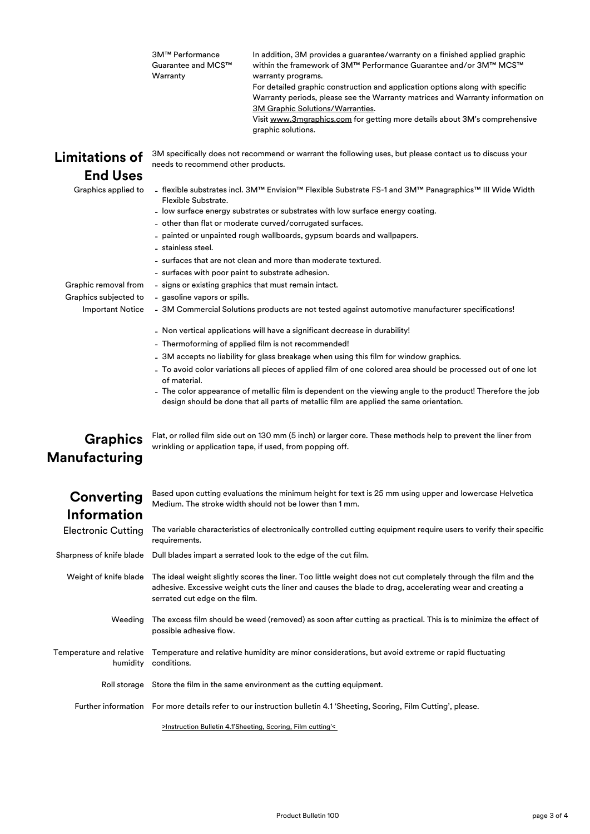| 3M™ Performance    | In addition, 3M provides a guarantee/warranty on a finished applied graphic    |
|--------------------|--------------------------------------------------------------------------------|
| Guarantee and MCS™ | within the framework of 3M™ Performance Guarantee and/or 3M™ MCS™              |
| Warranty           | warranty programs.                                                             |
|                    | For detailed graphic construction and application options along with specific  |
|                    | Warranty periods, please see the Warranty matrices and Warranty information on |
|                    | 3M Graphic Solutions/Warranties.                                               |
|                    | Visit www.3mgraphics.com for getting more details about 3M's comprehensive     |
|                    | graphic solutions.                                                             |
|                    |                                                                                |

## **Limitations of End Uses**

Graphics applied to -

3M specifically does not recommend or warrant the following uses, but please contact us to discuss your needs to recommend other products.

flexible substrates incl. 3M™ Envision™ Flexible Substrate FS-1 and 3M™ Panagraphics™ III Wide Width Flexible Substrate.

- low surface energy substrates or substrates with low surface energy coating.
- other than flat or moderate curved/corrugated surfaces.
- painted or unpainted rough wallboards, gypsum boards and wallpapers.
- stainless steel.

- gasoline vapors or spills.

- surfaces that are not clean and more than moderate textured.
- surfaces with poor paint to substrate adhesion.

- signs or existing graphics that must remain intact.

Graphic removal from - Graphics subjected to

- **Important Notice**
- 3M Commercial Solutions products are not tested against automotive manufacturer specifications!
- Non vertical applications will have a significant decrease in durability!
- Thermoforming of applied film is not recommended!
- 3M accepts no liability for glass breakage when using this film for window graphics.
- To avoid color variations all pieces of applied film of one colored area should be processed out of one lot of material.
- The color appearance of metallic film is dependent on the viewing angle to the product! Therefore the job design should be done that all parts of metallic film are applied the same orientation.

## **Graphics Manufacturing**

Flat, or rolled film side out on 130 mm (5 inch) or larger core. These methods help to prevent the liner from wrinkling or application tape, if used, from popping off.

| Converting                |
|---------------------------|
| Information               |
| <b>Electronic Cutting</b> |

Based upon cutting evaluations the minimum height for text is 25 mm using upper and lowercase Helvetica Medium. The stroke width should not be lower than 1 mm.

The variable characteristics of electronically controlled cutting equipment require users to verify their specific requirements.

Sharpness of knife blade Dull blades impart a serrated look to the edge of the cut film.

Weight of knife blade  $\;$  The ideal weight slightly scores the liner. Too little weight does not cut completely through the film and the adhesive. Excessive weight cuts the liner and causes the blade to drag, accelerating wear and creating a serrated cut edge on the film.

- Weeding The excess film should be weed (removed) as soon after cutting as practical. This is to minimize the effect of possible adhesive flow.
- Temperature and relative  $\;$  Temperature and relative humidity are minor considerations, but avoid extreme or rapid fluctuating humidity conditions.
	- Roll storage Store the film in the same environment as the cutting equipment.

Further information For more details refer to our instruction bulletin 4.1 'Sheeting, Scoring, Film Cutting', please.

[>Instruction Bulletin 4.1'Shee](http://multimedia.3m.com/mws/media/986575O/instruction-bulletin-4-1.pdf)ting, Scoring, Film cutting'<